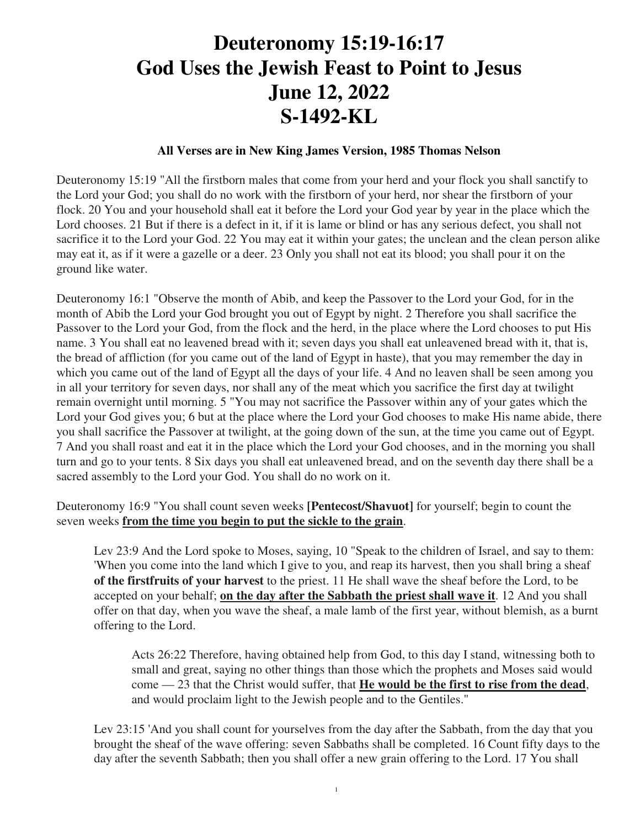## **Deuteronomy 15:19-16:17 God Uses the Jewish Feast to Point to Jesus June 12, 2022 S-1492-KL**

## **All Verses are in New King James Version, 1985 Thomas Nelson**

Deuteronomy 15:19 "All the firstborn males that come from your herd and your flock you shall sanctify to the Lord your God; you shall do no work with the firstborn of your herd, nor shear the firstborn of your flock. 20 You and your household shall eat it before the Lord your God year by year in the place which the Lord chooses. 21 But if there is a defect in it, if it is lame or blind or has any serious defect, you shall not sacrifice it to the Lord your God. 22 You may eat it within your gates; the unclean and the clean person alike may eat it, as if it were a gazelle or a deer. 23 Only you shall not eat its blood; you shall pour it on the ground like water.

Deuteronomy 16:1 "Observe the month of Abib, and keep the Passover to the Lord your God, for in the month of Abib the Lord your God brought you out of Egypt by night. 2 Therefore you shall sacrifice the Passover to the Lord your God, from the flock and the herd, in the place where the Lord chooses to put His name. 3 You shall eat no leavened bread with it; seven days you shall eat unleavened bread with it, that is, the bread of affliction (for you came out of the land of Egypt in haste), that you may remember the day in which you came out of the land of Egypt all the days of your life. 4 And no leaven shall be seen among you in all your territory for seven days, nor shall any of the meat which you sacrifice the first day at twilight remain overnight until morning. 5 "You may not sacrifice the Passover within any of your gates which the Lord your God gives you; 6 but at the place where the Lord your God chooses to make His name abide, there you shall sacrifice the Passover at twilight, at the going down of the sun, at the time you came out of Egypt. 7 And you shall roast and eat it in the place which the Lord your God chooses, and in the morning you shall turn and go to your tents. 8 Six days you shall eat unleavened bread, and on the seventh day there shall be a sacred assembly to the Lord your God. You shall do no work on it.

Deuteronomy 16:9 "You shall count seven weeks **[Pentecost/Shavuot]** for yourself; begin to count the seven weeks **from the time you begin to put the sickle to the grain**.

Lev 23:9 And the Lord spoke to Moses, saying, 10 "Speak to the children of Israel, and say to them: 'When you come into the land which I give to you, and reap its harvest, then you shall bring a sheaf **of the firstfruits of your harvest** to the priest. 11 He shall wave the sheaf before the Lord, to be accepted on your behalf; **on the day after the Sabbath the priest shall wave it**. 12 And you shall offer on that day, when you wave the sheaf, a male lamb of the first year, without blemish, as a burnt offering to the Lord.

Acts 26:22 Therefore, having obtained help from God, to this day I stand, witnessing both to small and great, saying no other things than those which the prophets and Moses said would come — 23 that the Christ would suffer, that **He would be the first to rise from the dead**, and would proclaim light to the Jewish people and to the Gentiles."

Lev 23:15 'And you shall count for yourselves from the day after the Sabbath, from the day that you brought the sheaf of the wave offering: seven Sabbaths shall be completed. 16 Count fifty days to the day after the seventh Sabbath; then you shall offer a new grain offering to the Lord. 17 You shall